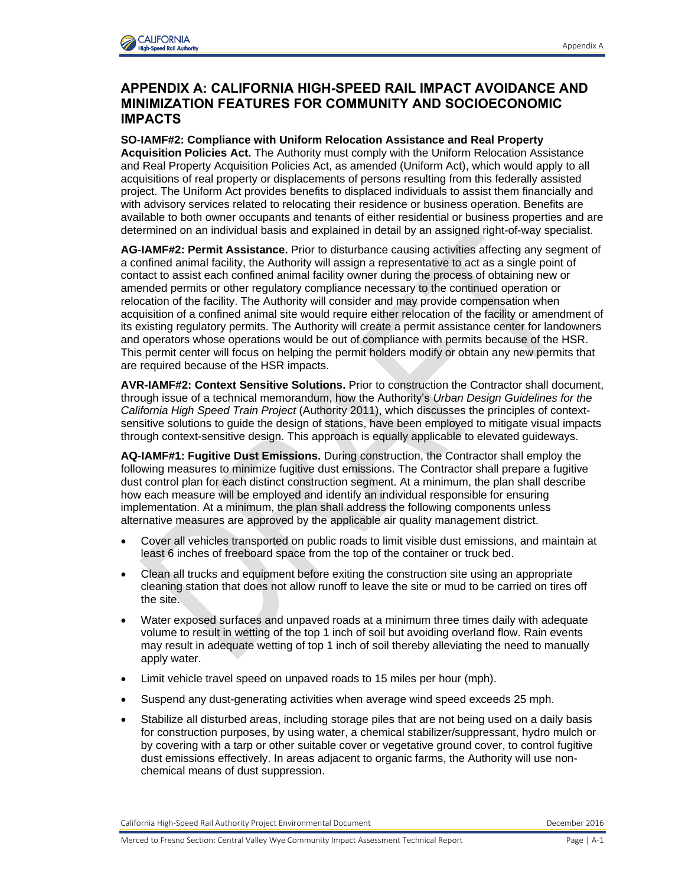

## **APPENDIX A: CALIFORNIA HIGH-SPEED RAIL IMPACT AVOIDANCE AND MINIMIZATION FEATURES FOR COMMUNITY AND SOCIOECONOMIC IMPACTS**

**SO-IAMF#2: Compliance with Uniform Relocation Assistance and Real Property Acquisition Policies Act.** The Authority must comply with the Uniform Relocation Assistance and Real Property Acquisition Policies Act, as amended (Uniform Act), which would apply to all acquisitions of real property or displacements of persons resulting from this federally assisted project. The Uniform Act provides benefits to displaced individuals to assist them financially and with advisory services related to relocating their residence or business operation. Benefits are available to both owner occupants and tenants of either residential or business properties and are determined on an individual basis and explained in detail by an assigned right-of-way specialist.

**AG-IAMF#2: Permit Assistance.** Prior to disturbance causing activities affecting any segment of a confined animal facility, the Authority will assign a representative to act as a single point of contact to assist each confined animal facility owner during the process of obtaining new or amended permits or other regulatory compliance necessary to the continued operation or relocation of the facility. The Authority will consider and may provide compensation when acquisition of a confined animal site would require either relocation of the facility or amendment of its existing regulatory permits. The Authority will create a permit assistance center for landowners and operators whose operations would be out of compliance with permits because of the HSR. This permit center will focus on helping the permit holders modify or obtain any new permits that are required because of the HSR impacts.

**AVR-IAMF#2: Context Sensitive Solutions.** Prior to construction the Contractor shall document, through issue of a technical memorandum, how the Authority's *Urban Design Guidelines for the California High Speed Train Project* (Authority 2011), which discusses the principles of contextsensitive solutions to guide the design of stations, have been employed to mitigate visual impacts through context-sensitive design. This approach is equally applicable to elevated guideways.

**AQ-IAMF#1: Fugitive Dust Emissions.** During construction, the Contractor shall employ the following measures to minimize fugitive dust emissions. The Contractor shall prepare a fugitive dust control plan for each distinct construction segment. At a minimum, the plan shall describe how each measure will be employed and identify an individual responsible for ensuring implementation. At a minimum, the plan shall address the following components unless alternative measures are approved by the applicable air quality management district.

- Cover all vehicles transported on public roads to limit visible dust emissions, and maintain at least 6 inches of freeboard space from the top of the container or truck bed.
- Clean all trucks and equipment before exiting the construction site using an appropriate cleaning station that does not allow runoff to leave the site or mud to be carried on tires off the site.
- Water exposed surfaces and unpaved roads at a minimum three times daily with adequate volume to result in wetting of the top 1 inch of soil but avoiding overland flow. Rain events may result in adequate wetting of top 1 inch of soil thereby alleviating the need to manually apply water.
- Limit vehicle travel speed on unpaved roads to 15 miles per hour (mph).
- Suspend any dust-generating activities when average wind speed exceeds 25 mph.
- Stabilize all disturbed areas, including storage piles that are not being used on a daily basis for construction purposes, by using water, a chemical stabilizer/suppressant, hydro mulch or by covering with a tarp or other suitable cover or vegetative ground cover, to control fugitive dust emissions effectively. In areas adjacent to organic farms, the Authority will use nonchemical means of dust suppression.

California High-Speed Rail Authority Project Environmental Document Communication Communication December 2016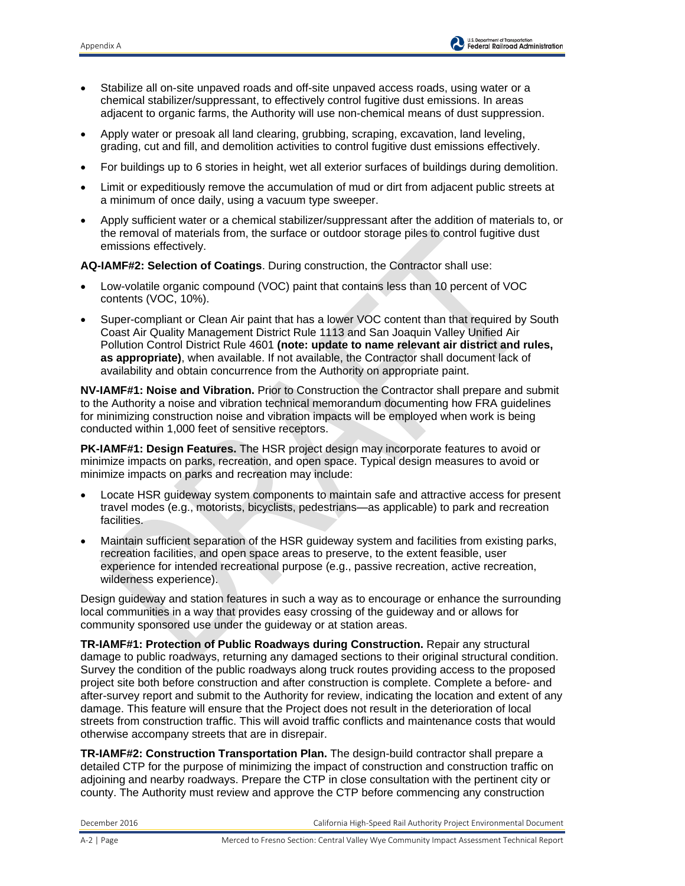- Stabilize all on-site unpaved roads and off-site unpaved access roads, using water or a chemical stabilizer/suppressant, to effectively control fugitive dust emissions. In areas adjacent to organic farms, the Authority will use non-chemical means of dust suppression.
- Apply water or presoak all land clearing, grubbing, scraping, excavation, land leveling, grading, cut and fill, and demolition activities to control fugitive dust emissions effectively.
- For buildings up to 6 stories in height, wet all exterior surfaces of buildings during demolition.
- Limit or expeditiously remove the accumulation of mud or dirt from adjacent public streets at a minimum of once daily, using a vacuum type sweeper.
- Apply sufficient water or a chemical stabilizer/suppressant after the addition of materials to, or the removal of materials from, the surface or outdoor storage piles to control fugitive dust emissions effectively.

**AQ-IAMF#2: Selection of Coatings**. During construction, the Contractor shall use:

- Low-volatile organic compound (VOC) paint that contains less than 10 percent of VOC contents (VOC, 10%).
- Super-compliant or Clean Air paint that has a lower VOC content than that required by South Coast Air Quality Management District Rule 1113 and San Joaquin Valley Unified Air Pollution Control District Rule 4601 **(note: update to name relevant air district and rules, as appropriate)**, when available. If not available, the Contractor shall document lack of availability and obtain concurrence from the Authority on appropriate paint.

**NV-IAMF#1: Noise and Vibration.** Prior to Construction the Contractor shall prepare and submit to the Authority a noise and vibration technical memorandum documenting how FRA guidelines for minimizing construction noise and vibration impacts will be employed when work is being conducted within 1,000 feet of sensitive receptors.

**PK-IAMF#1: Design Features.** The HSR project design may incorporate features to avoid or minimize impacts on parks, recreation, and open space. Typical design measures to avoid or minimize impacts on parks and recreation may include:

- Locate HSR guideway system components to maintain safe and attractive access for present travel modes (e.g., motorists, bicyclists, pedestrians—as applicable) to park and recreation facilities.
- Maintain sufficient separation of the HSR guideway system and facilities from existing parks, recreation facilities, and open space areas to preserve, to the extent feasible, user experience for intended recreational purpose (e.g., passive recreation, active recreation, wilderness experience).

Design guideway and station features in such a way as to encourage or enhance the surrounding local communities in a way that provides easy crossing of the guideway and or allows for community sponsored use under the guideway or at station areas.

**TR-IAMF#1: Protection of Public Roadways during Construction.** Repair any structural damage to public roadways, returning any damaged sections to their original structural condition. Survey the condition of the public roadways along truck routes providing access to the proposed project site both before construction and after construction is complete. Complete a before- and after-survey report and submit to the Authority for review, indicating the location and extent of any damage. This feature will ensure that the Project does not result in the deterioration of local streets from construction traffic. This will avoid traffic conflicts and maintenance costs that would otherwise accompany streets that are in disrepair.

**TR-IAMF#2: Construction Transportation Plan.** The design-build contractor shall prepare a detailed CTP for the purpose of minimizing the impact of construction and construction traffic on adjoining and nearby roadways. Prepare the CTP in close consultation with the pertinent city or county. The Authority must review and approve the CTP before commencing any construction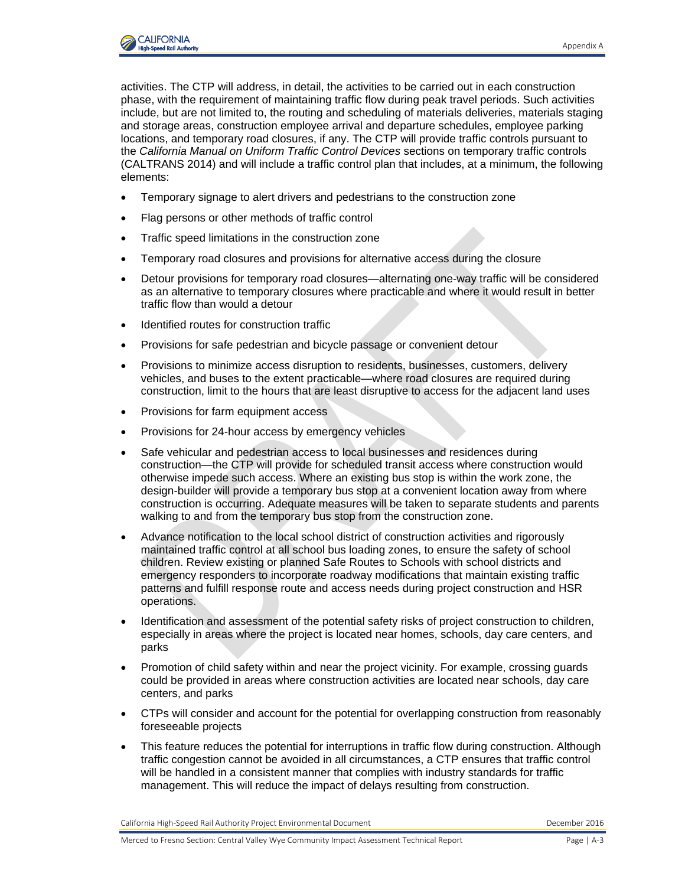

activities. The CTP will address, in detail, the activities to be carried out in each construction phase, with the requirement of maintaining traffic flow during peak travel periods. Such activities include, but are not limited to, the routing and scheduling of materials deliveries, materials staging and storage areas, construction employee arrival and departure schedules, employee parking locations, and temporary road closures, if any. The CTP will provide traffic controls pursuant to the *California Manual on Uniform Traffic Control Devices* sections on temporary traffic controls (CALTRANS 2014) and will include a traffic control plan that includes, at a minimum, the following elements:

- Temporary signage to alert drivers and pedestrians to the construction zone
- Flag persons or other methods of traffic control
- Traffic speed limitations in the construction zone
- Temporary road closures and provisions for alternative access during the closure
- Detour provisions for temporary road closures—alternating one-way traffic will be considered as an alternative to temporary closures where practicable and where it would result in better traffic flow than would a detour
- Identified routes for construction traffic
- Provisions for safe pedestrian and bicycle passage or convenient detour
- Provisions to minimize access disruption to residents, businesses, customers, delivery vehicles, and buses to the extent practicable—where road closures are required during construction, limit to the hours that are least disruptive to access for the adjacent land uses
- Provisions for farm equipment access
- Provisions for 24-hour access by emergency vehicles
- Safe vehicular and pedestrian access to local businesses and residences during construction—the CTP will provide for scheduled transit access where construction would otherwise impede such access. Where an existing bus stop is within the work zone, the design-builder will provide a temporary bus stop at a convenient location away from where construction is occurring. Adequate measures will be taken to separate students and parents walking to and from the temporary bus stop from the construction zone.
- Advance notification to the local school district of construction activities and rigorously maintained traffic control at all school bus loading zones, to ensure the safety of school children. Review existing or planned Safe Routes to Schools with school districts and emergency responders to incorporate roadway modifications that maintain existing traffic patterns and fulfill response route and access needs during project construction and HSR operations.
- Identification and assessment of the potential safety risks of project construction to children, especially in areas where the project is located near homes, schools, day care centers, and parks
- Promotion of child safety within and near the project vicinity. For example, crossing guards could be provided in areas where construction activities are located near schools, day care centers, and parks
- CTPs will consider and account for the potential for overlapping construction from reasonably foreseeable projects
- This feature reduces the potential for interruptions in traffic flow during construction. Although traffic congestion cannot be avoided in all circumstances, a CTP ensures that traffic control will be handled in a consistent manner that complies with industry standards for traffic management. This will reduce the impact of delays resulting from construction.

California High-Speed Rail Authority Project Environmental Document Communication Communication December 2016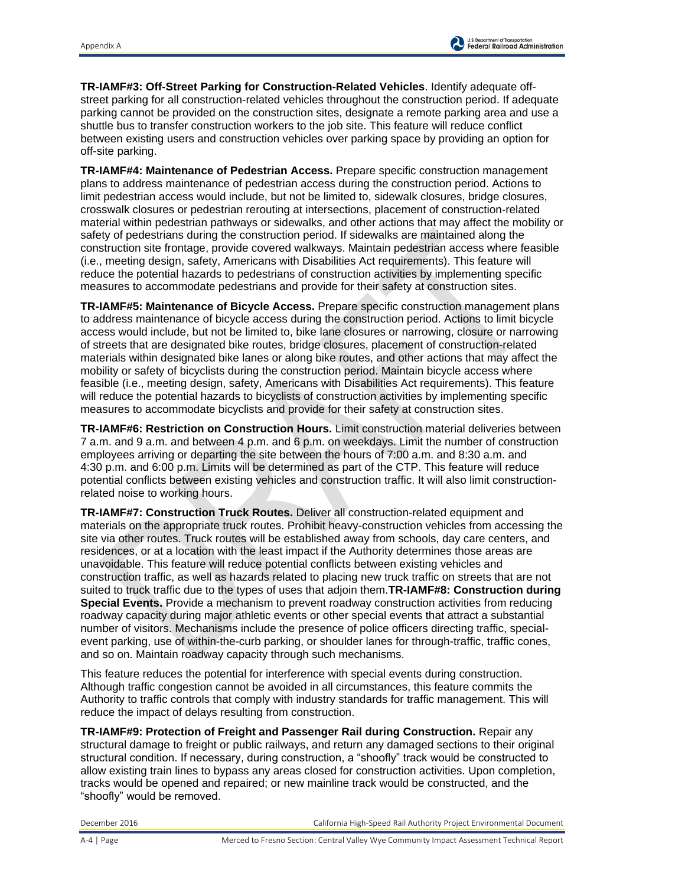**TR-IAMF#3: Off-Street Parking for Construction-Related Vehicles**. Identify adequate offstreet parking for all construction-related vehicles throughout the construction period. If adequate parking cannot be provided on the construction sites, designate a remote parking area and use a shuttle bus to transfer construction workers to the job site. This feature will reduce conflict between existing users and construction vehicles over parking space by providing an option for off-site parking.

**TR-IAMF#4: Maintenance of Pedestrian Access.** Prepare specific construction management plans to address maintenance of pedestrian access during the construction period. Actions to limit pedestrian access would include, but not be limited to, sidewalk closures, bridge closures, crosswalk closures or pedestrian rerouting at intersections, placement of construction-related material within pedestrian pathways or sidewalks, and other actions that may affect the mobility or safety of pedestrians during the construction period. If sidewalks are maintained along the construction site frontage, provide covered walkways. Maintain pedestrian access where feasible (i.e., meeting design, safety, Americans with Disabilities Act requirements). This feature will reduce the potential hazards to pedestrians of construction activities by implementing specific measures to accommodate pedestrians and provide for their safety at construction sites.

**TR-IAMF#5: Maintenance of Bicycle Access.** Prepare specific construction management plans to address maintenance of bicycle access during the construction period. Actions to limit bicycle access would include, but not be limited to, bike lane closures or narrowing, closure or narrowing of streets that are designated bike routes, bridge closures, placement of construction-related materials within designated bike lanes or along bike routes, and other actions that may affect the mobility or safety of bicyclists during the construction period. Maintain bicycle access where feasible (i.e., meeting design, safety, Americans with Disabilities Act requirements). This feature will reduce the potential hazards to bicyclists of construction activities by implementing specific measures to accommodate bicyclists and provide for their safety at construction sites.

**TR-IAMF#6: Restriction on Construction Hours.** Limit construction material deliveries between 7 a.m. and 9 a.m. and between 4 p.m. and 6 p.m. on weekdays. Limit the number of construction employees arriving or departing the site between the hours of 7:00 a.m. and 8:30 a.m. and 4:30 p.m. and 6:00 p.m. Limits will be determined as part of the CTP. This feature will reduce potential conflicts between existing vehicles and construction traffic. It will also limit constructionrelated noise to working hours.

**TR-IAMF#7: Construction Truck Routes.** Deliver all construction-related equipment and materials on the appropriate truck routes. Prohibit heavy-construction vehicles from accessing the site via other routes. Truck routes will be established away from schools, day care centers, and residences, or at a location with the least impact if the Authority determines those areas are unavoidable. This feature will reduce potential conflicts between existing vehicles and construction traffic, as well as hazards related to placing new truck traffic on streets that are not suited to truck traffic due to the types of uses that adjoin them.**TR-IAMF#8: Construction during Special Events.** Provide a mechanism to prevent roadway construction activities from reducing roadway capacity during major athletic events or other special events that attract a substantial number of visitors. Mechanisms include the presence of police officers directing traffic, specialevent parking, use of within-the-curb parking, or shoulder lanes for through-traffic, traffic cones, and so on. Maintain roadway capacity through such mechanisms.

This feature reduces the potential for interference with special events during construction. Although traffic congestion cannot be avoided in all circumstances, this feature commits the Authority to traffic controls that comply with industry standards for traffic management. This will reduce the impact of delays resulting from construction.

**TR-IAMF#9: Protection of Freight and Passenger Rail during Construction.** Repair any structural damage to freight or public railways, and return any damaged sections to their original structural condition. If necessary, during construction, a "shoofly" track would be constructed to allow existing train lines to bypass any areas closed for construction activities. Upon completion, tracks would be opened and repaired; or new mainline track would be constructed, and the "shoofly" would be removed.

December 2016 California High-Speed Rail Authority Project Environmental Document